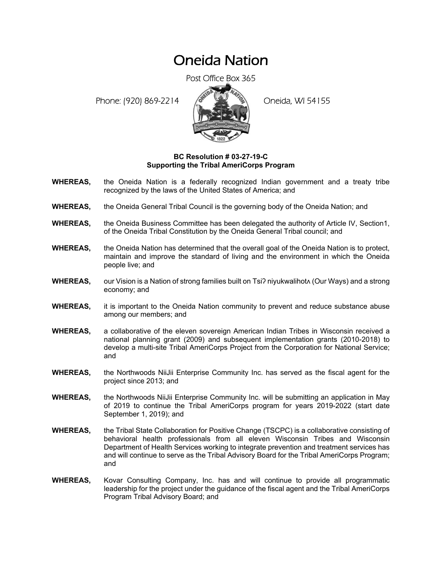## Oneida Nation

Post Office Box 365

Phone: (920) 869-2214 (8 22 3) Oneida, WI 54155



## **BC Resolution # 03-27-19-C Supporting the Tribal AmeriCorps Program**

- **WHEREAS,** the Oneida Nation is a federally recognized Indian government and a treaty tribe recognized by the laws of the United States of America; and
- **WHEREAS,** the Oneida General Tribal Council is the governing body of the Oneida Nation; and
- **WHEREAS,** the Oneida Business Committee has been delegated the authority of Article IV, Section1, of the Oneida Tribal Constitution by the Oneida General Tribal council; and
- **WHEREAS,** the Oneida Nation has determined that the overall goal of the Oneida Nation is to protect, maintain and improve the standard of living and the environment in which the Oneida people live; and
- **WHEREAS,** our Vision is a Nation of strong families built on Tsi? niyukwalihot (Our Ways) and a strong economy; and
- **WHEREAS,** it is important to the Oneida Nation community to prevent and reduce substance abuse among our members; and
- **WHEREAS,** a collaborative of the eleven sovereign American Indian Tribes in Wisconsin received a national planning grant (2009) and subsequent implementation grants (2010-2018) to develop a multi-site Tribal AmeriCorps Project from the Corporation for National Service; and
- **WHEREAS,** the Northwoods NiiJii Enterprise Community Inc. has served as the fiscal agent for the project since 2013; and
- **WHEREAS,** the Northwoods NiiJii Enterprise Community Inc. will be submitting an application in May of 2019 to continue the Tribal AmeriCorps program for years 2019-2022 (start date September 1, 2019); and
- **WHEREAS,** the Tribal State Collaboration for Positive Change (TSCPC) is a collaborative consisting of behavioral health professionals from all eleven Wisconsin Tribes and Wisconsin Department of Health Services working to integrate prevention and treatment services has and will continue to serve as the Tribal Advisory Board for the Tribal AmeriCorps Program; and
- **WHEREAS,** Kovar Consulting Company, Inc. has and will continue to provide all programmatic leadership for the project under the guidance of the fiscal agent and the Tribal AmeriCorps Program Tribal Advisory Board; and